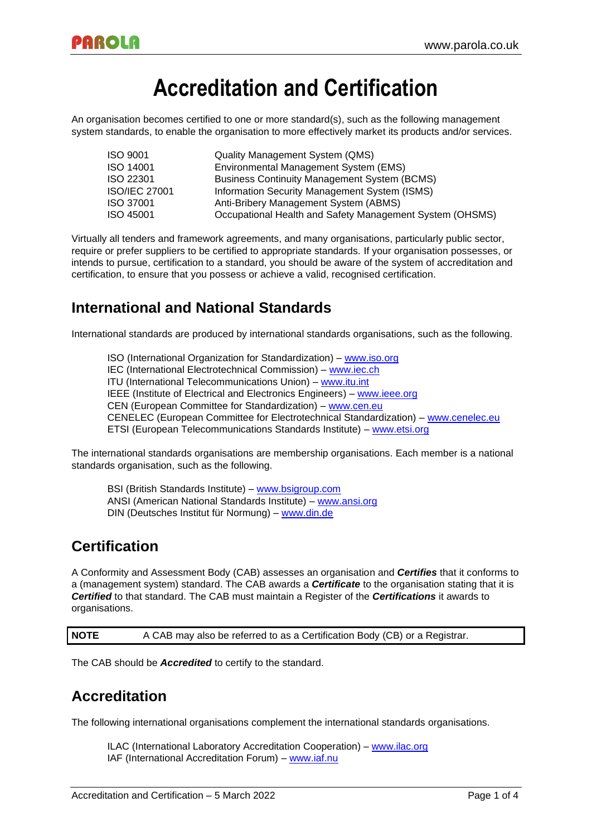# **Accreditation and Certification**

An organisation becomes certified to one or more standard(s), such as the following management system standards, to enable the organisation to more effectively market its products and/or services.

| ISO 9001      | <b>Quality Management System (QMS)</b>                   |
|---------------|----------------------------------------------------------|
| ISO 14001     | Environmental Management System (EMS)                    |
| ISO 22301     | <b>Business Continuity Management System (BCMS)</b>      |
| ISO/IEC 27001 | Information Security Management System (ISMS)            |
| ISO 37001     | Anti-Bribery Management System (ABMS)                    |
| ISO 45001     | Occupational Health and Safety Management System (OHSMS) |

Virtually all tenders and framework agreements, and many organisations, particularly public sector, require or prefer suppliers to be certified to appropriate standards. If your organisation possesses, or intends to pursue, certification to a standard, you should be aware of the system of accreditation and certification, to ensure that you possess or achieve a valid, recognised certification.

# **International and National Standards**

International standards are produced by international standards organisations, such as the following.

ISO (International Organization for Standardization) – [www.iso.org](http://www.iso.org/) IEC (International Electrotechnical Commission) – [www.iec.ch](http://www.iec.ch/) ITU (International Telecommunications Union) – [www.itu.int](http://www.itu.int/) IEEE (Institute of Electrical and Electronics Engineers) – [www.ieee.org](http://www.ieee.org/) CEN (European Committee for Standardization) – [www.cen.eu](http://www.cen.eu/) CENELEC (European Committee for Electrotechnical Standardization) – [www.cenelec.eu](http://www.cenelec.eu/) ETSI (European Telecommunications Standards Institute) – [www.etsi.org](http://www.etsi.org/)

The international standards organisations are membership organisations. Each member is a national standards organisation, such as the following.

BSI (British Standards Institute) – [www.bsigroup.com](http://www.bsigroup.com/) ANSI (American National Standards Institute) – [www.ansi.org](http://www.ansi.org/) DIN (Deutsches Institut für Normung) – [www.din.de](http://www.din.de/)

# **Certification**

A Conformity and Assessment Body (CAB) assesses an organisation and *Certifies* that it conforms to a (management system) standard. The CAB awards a *Certificate* to the organisation stating that it is *Certified* to that standard. The CAB must maintain a Register of the *Certifications* it awards to organisations.

**NOTE** A CAB may also be referred to as a Certification Body (CB) or a Registrar.

The CAB should be *Accredited* to certify to the standard.

# **Accreditation**

The following international organisations complement the international standards organisations.

ILAC (International Laboratory Accreditation Cooperation) – [www.ilac.org](http://www.ilac.org/) IAF (International Accreditation Forum) – [www.iaf.nu](http://www.iaf.nu/)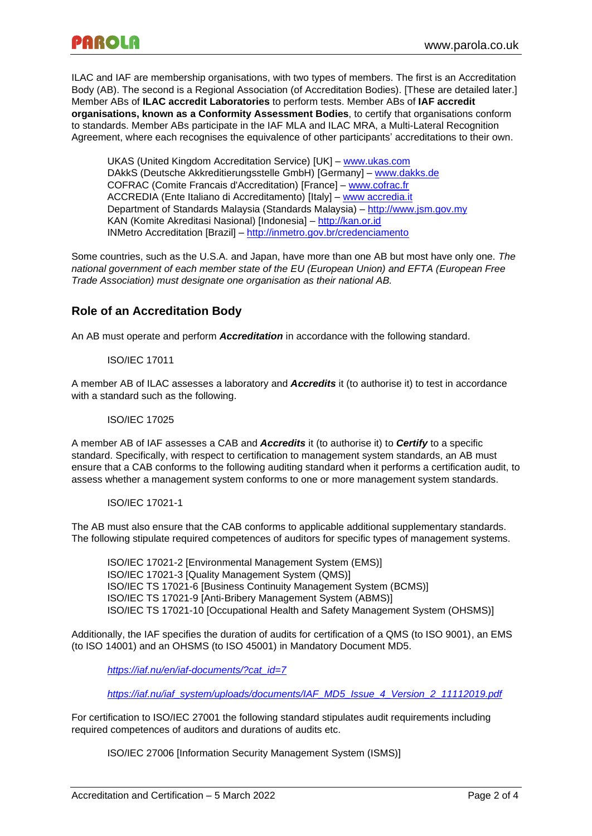ILAC and IAF are membership organisations, with two types of members. The first is an Accreditation Body (AB). The second is a Regional Association (of Accreditation Bodies). [These are detailed later.] Member ABs of **ILAC accredit Laboratories** to perform tests. Member ABs of **IAF accredit organisations, known as a Conformity Assessment Bodies**, to certify that organisations conform to standards. Member ABs participate in the IAF MLA and ILAC MRA, a Multi-Lateral Recognition Agreement, where each recognises the equivalence of other participants' accreditations to their own.

UKAS (United Kingdom Accreditation Service) [UK] – [www.ukas.com](http://www.ukas.com/) DAkkS (Deutsche Akkreditierungsstelle GmbH) [Germany] – [www.dakks.de](http://www.dakks.de/) COFRAC (Comite Francais d'Accreditation) [France] – [www.cofrac.fr](http://www.cofrac.fr/) ACCREDIA (Ente Italiano di Accreditamento) [Italy] – www [accredia.it](http://www.accredia.it/) Department of Standards Malaysia (Standards Malaysia) – [http://www.jsm.gov.my](http://www.jsm.gov.my/) KAN (Komite Akreditasi Nasional) [Indonesia] – [http://kan.or.id](http://kan.or.id/) INMetro Accreditation [Brazil] – <http://inmetro.gov.br/credenciamento>

Some countries, such as the U.S.A. and Japan, have more than one AB but most have only one. *The national government of each member state of the EU (European Union) and EFTA (European Free Trade Association) must designate one organisation as their national AB.*

## **Role of an Accreditation Body**

An AB must operate and perform *Accreditation* in accordance with the following standard.

#### ISO/IEC 17011

A member AB of ILAC assesses a laboratory and *Accredits* it (to authorise it) to test in accordance with a standard such as the following.

#### ISO/IEC 17025

A member AB of IAF assesses a CAB and *Accredits* it (to authorise it) to *Certify* to a specific standard. Specifically, with respect to certification to management system standards, an AB must ensure that a CAB conforms to the following auditing standard when it performs a certification audit, to assess whether a management system conforms to one or more management system standards.

#### ISO/IEC 17021-1

The AB must also ensure that the CAB conforms to applicable additional supplementary standards. The following stipulate required competences of auditors for specific types of management systems.

ISO/IEC 17021-2 [Environmental Management System (EMS)] ISO/IEC 17021-3 [Quality Management System (QMS)] ISO/IEC TS 17021-6 [Business Continuity Management System (BCMS)] ISO/IEC TS 17021-9 [Anti-Bribery Management System (ABMS)] ISO/IEC TS 17021-10 [Occupational Health and Safety Management System (OHSMS)]

Additionally, the IAF specifies the duration of audits for certification of a QMS (to ISO 9001), an EMS (to ISO 14001) and an OHSMS (to ISO 45001) in Mandatory Document MD5.

*[https://iaf.nu/en/iaf-documents/?cat\\_id=7](https://iaf.nu/en/iaf-documents/?cat_id=7)*

*[https://iaf.nu/iaf\\_system/uploads/documents/IAF\\_MD5\\_Issue\\_4\\_Version\\_2\\_11112019.pdf](https://iaf.nu/iaf_system/uploads/documents/IAF_MD5_Issue_4_Version_2_11112019.pdf)*

For certification to ISO/IEC 27001 the following standard stipulates audit requirements including required competences of auditors and durations of audits etc.

ISO/IEC 27006 [Information Security Management System (ISMS)]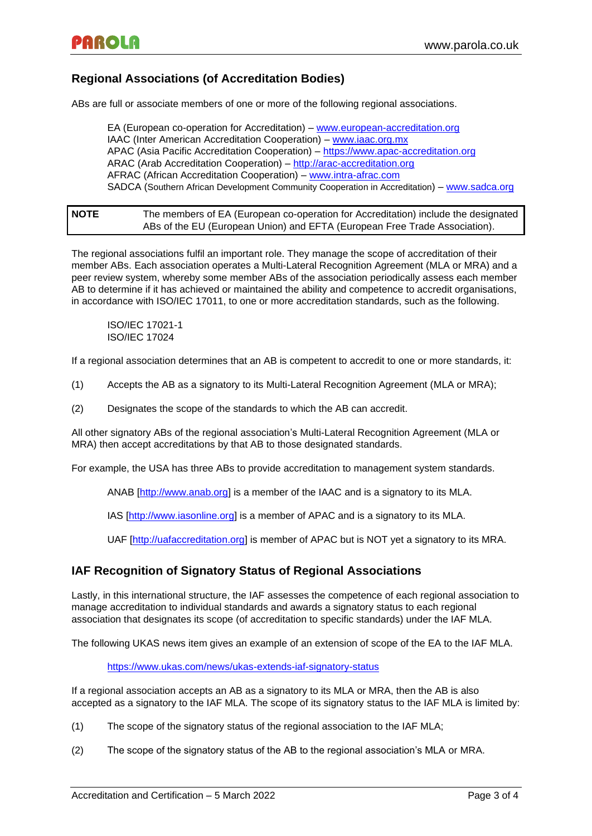### **Regional Associations (of Accreditation Bodies)**

ABs are full or associate members of one or more of the following regional associations.

EA (European co-operation for Accreditation) – [www.european-accreditation.org](http://www.european-accreditation.org/) IAAC (Inter American Accreditation Cooperation) – [www.iaac.org.mx](http://www.iaac.org.mx/) APAC (Asia Pacific Accreditation Cooperation) – [https://www.apac-accreditation.org](https://www.apac-accreditation.org/) ARAC (Arab Accreditation Cooperation) – [http://arac-accreditation.org](http://arac-accreditation.org/) AFRAC (African Accreditation Cooperation) – [www.intra-afrac.com](http://www.intra-afrac.com/) SADCA (Southern African Development Community Cooperation in Accreditation) – [www.sadca.org](http://www.sadca.org/)

**NOTE** The members of EA (European co-operation for Accreditation) include the designated ABs of the EU (European Union) and EFTA (European Free Trade Association).

The regional associations fulfil an important role. They manage the scope of accreditation of their member ABs. Each association operates a Multi-Lateral Recognition Agreement (MLA or MRA) and a peer review system, whereby some member ABs of the association periodically assess each member AB to determine if it has achieved or maintained the ability and competence to accredit organisations, in accordance with ISO/IEC 17011, to one or more accreditation standards, such as the following.

ISO/IEC 17021-1 ISO/IEC 17024

If a regional association determines that an AB is competent to accredit to one or more standards, it:

(1) Accepts the AB as a signatory to its Multi-Lateral Recognition Agreement (MLA or MRA);

(2) Designates the scope of the standards to which the AB can accredit.

All other signatory ABs of the regional association's Multi-Lateral Recognition Agreement (MLA or MRA) then accept accreditations by that AB to those designated standards.

For example, the USA has three ABs to provide accreditation to management system standards.

ANAB [\[http://www.anab.org\]](http://www.anab.org/) is a member of the IAAC and is a signatory to its MLA.

IAS [\[http://www.iasonline.org\]](http://www.iasonline.org/) is a member of APAC and is a signatory to its MLA.

UAF [\[http://uafaccreditation.org\]](http://uafaccreditation.org/) is member of APAC but is NOT yet a signatory to its MRA.

### **IAF Recognition of Signatory Status of Regional Associations**

Lastly, in this international structure, the IAF assesses the competence of each regional association to manage accreditation to individual standards and awards a signatory status to each regional association that designates its scope (of accreditation to specific standards) under the IAF MLA.

The following UKAS news item gives an example of an extension of scope of the EA to the IAF MLA.

<https://www.ukas.com/news/ukas-extends-iaf-signatory-status>

If a regional association accepts an AB as a signatory to its MLA or MRA, then the AB is also accepted as a signatory to the IAF MLA. The scope of its signatory status to the IAF MLA is limited by:

- (1) The scope of the signatory status of the regional association to the IAF MLA;
- (2) The scope of the signatory status of the AB to the regional association's MLA or MRA.